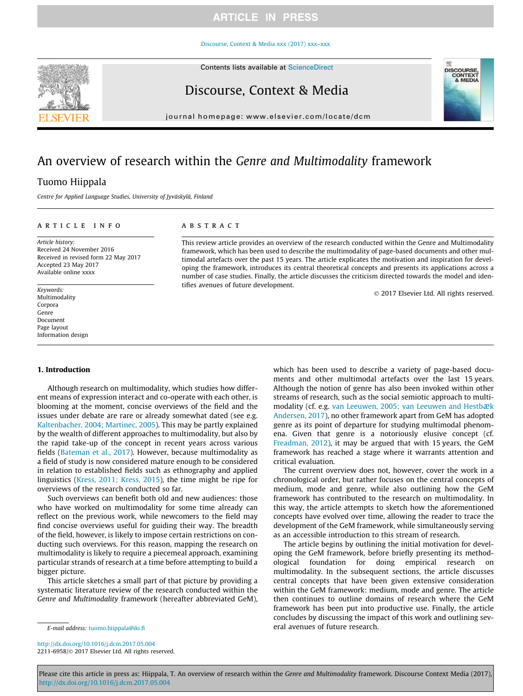# [Discourse, Context & Media xxx \(2017\) xxx–xxx](http://dx.doi.org/10.1016/j.dcm.2017.05.004)





# Discourse, Context & Media

journal homepage: [www.elsevier.com/locate/dcm](http://www.elsevier.com/locate/dcm)

# An overview of research within the Genre and Multimodality framework

# Tuomo Hiippala

Centre for Applied Language Studies, University of Jyväskylä, Finland

# article info

Article history: Received 24 November 2016 Received in revised form 22 May 2017 Accepted 23 May 2017 Available online xxxx

Keywords: Multimodality Corpora Genre Document Page layout Information design

# **ABSTRACT**

This review article provides an overview of the research conducted within the Genre and Multimodality framework, which has been used to describe the multimodality of page-based documents and other multimodal artefacts over the past 15 years. The article explicates the motivation and inspiration for developing the framework, introduces its central theoretical concepts and presents its applications across a number of case studies. Finally, the article discusses the criticism directed towards the model and identifies avenues of future development.

2017 Elsevier Ltd. All rights reserved.

**DISCOURSE CONTEXT**<br>& MEDIA

# 1. Introduction

Although research on multimodality, which studies how different means of expression interact and co-operate with each other, is blooming at the moment, concise overviews of the field and the issues under debate are rare or already somewhat dated (see e.g. [Kaltenbacher, 2004; Martinec, 2005](#page-7-0)). This may be partly explained by the wealth of different approaches to multimodality, but also by the rapid take-up of the concept in recent years across various fields [\(Bateman et al., 2017](#page-7-0)). However, because multimodality as a field of study is now considered mature enough to be considered in relation to established fields such as ethnography and applied linguistics [\(Kress, 2011; Kress, 2015](#page-7-0)), the time might be ripe for overviews of the research conducted so far.

Such overviews can benefit both old and new audiences: those who have worked on multimodality for some time already can reflect on the previous work, while newcomers to the field may find concise overviews useful for guiding their way. The breadth of the field, however, is likely to impose certain restrictions on conducting such overviews. For this reason, mapping the research on multimodality is likely to require a piecemeal approach, examining particular strands of research at a time before attempting to build a bigger picture.

This article sketches a small part of that picture by providing a systematic literature review of the research conducted within the Genre and Multimodality framework (hereafter abbreviated GeM),

<http://dx.doi.org/10.1016/j.dcm.2017.05.004> 2211-6958/© 2017 Elsevier Ltd. All rights reserved. which has been used to describe a variety of page-based documents and other multimodal artefacts over the last 15 years. Although the notion of genre has also been invoked within other streams of research, such as the social semiotic approach to multimodality (cf. e.g. [van Leeuwen, 2005; van Leeuwen and Hestbæk](#page-8-0) [Andersen, 2017](#page-8-0)), no other framework apart from GeM has adopted genre as its point of departure for studying multimodal phenomena. Given that genre is a notoriously elusive concept (cf. [Freadman, 2012](#page-7-0)), it may be argued that with 15 years, the GeM framework has reached a stage where it warrants attention and critical evaluation.

The current overview does not, however, cover the work in a chronological order, but rather focuses on the central concepts of medium, mode and genre, while also outlining how the GeM framework has contributed to the research on multimodality. In this way, the article attempts to sketch how the aforementioned concepts have evolved over time, allowing the reader to trace the development of the GeM framework, while simultaneously serving as an accessible introduction to this stream of research.

The article begins by outlining the initial motivation for developing the GeM framework, before briefly presenting its methodological foundation for doing empirical research on multimodality. In the subsequent sections, the article discusses central concepts that have been given extensive consideration within the GeM framework: medium, mode and genre. The article then continues to outline domains of research where the GeM framework has been put into productive use. Finally, the article concludes by discussing the impact of this work and outlining several avenues of future research.

E-mail address: [tuomo.hiippala@iki.fi](mailto:tuomo.hiippala@iki.fi)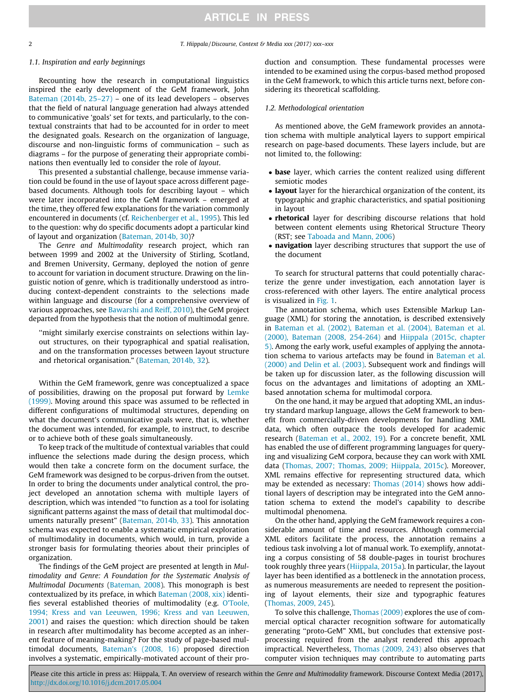2 **T. Hiippala / Discourse, Context & Media xxx (2017) xxx–xxx** 

#### 1.1. Inspiration and early beginnings

Recounting how the research in computational linguistics inspired the early development of the GeM framework, John [Bateman \(2014b, 25–27\)](#page-7-0) – one of its lead developers – observes that the field of natural language generation had always attended to communicative 'goals' set for texts, and particularly, to the contextual constraints that had to be accounted for in order to meet the designated goals. Research on the organization of language, discourse and non-linguistic forms of communication – such as diagrams – for the purpose of generating their appropriate combinations then eventually led to consider the role of layout.

This presented a substantial challenge, because immense variation could be found in the use of layout space across different pagebased documents. Although tools for describing layout – which were later incorporated into the GeM framework – emerged at the time, they offered few explanations for the variation commonly encountered in documents (cf. [Reichenberger et al., 1995](#page-8-0)). This led to the question: why do specific documents adopt a particular kind of layout and organization ([Bateman, 2014b, 30](#page-7-0))?

The Genre and Multimodality research project, which ran between 1999 and 2002 at the University of Stirling, Scotland, and Bremen University, Germany, deployed the notion of genre to account for variation in document structure. Drawing on the linguistic notion of genre, which is traditionally understood as introducing context-dependent constraints to the selections made within language and discourse (for a comprehensive overview of various approaches, see [Bawarshi and Reiff, 2010](#page-7-0)), the GeM project departed from the hypothesis that the notion of multimodal genre.

''might similarly exercise constraints on selections within layout structures, on their typographical and spatial realisation, and on the transformation processes between layout structure and rhetorical organisation." [\(Bateman, 2014b, 32](#page-7-0)).

Within the GeM framework, genre was conceptualized a space of possibilities, drawing on the proposal put forward by [Lemke](#page-7-0) [\(1999\).](#page-7-0) Moving around this space was assumed to be reflected in different configurations of multimodal structures, depending on what the document's communicative goals were, that is, whether the document was intended, for example, to instruct, to describe or to achieve both of these goals simultaneously.

To keep track of the multitude of contextual variables that could influence the selections made during the design process, which would then take a concrete form on the document surface, the GeM framework was designed to be corpus-driven from the outset. In order to bring the documents under analytical control, the project developed an annotation schema with multiple layers of description, which was intended ''to function as a tool for isolating significant patterns against the mass of detail that multimodal documents naturally present" [\(Bateman, 2014b, 33\)](#page-7-0). This annotation schema was expected to enable a systematic empirical exploration of multimodality in documents, which would, in turn, provide a stronger basis for formulating theories about their principles of organization.

The findings of the GeM project are presented at length in Multimodality and Genre: A Foundation for the Systematic Analysis of Multimodal Documents [\(Bateman, 2008\)](#page-7-0). This monograph is best contextualized by its preface, in which [Bateman \(2008, xix\)](#page-7-0) identifies several established theories of multimodality (e.g. [O'Toole,](#page-8-0) [1994; Kress and van Leeuwen, 1996; Kress and van Leeuwen,](#page-8-0) [2001\)](#page-8-0) and raises the question: which direction should be taken in research after multimodality has become accepted as an inherent feature of meaning-making? For the study of page-based multimodal documents, [Bateman's \(2008, 16\)](#page-7-0) proposed direction involves a systematic, empirically-motivated account of their production and consumption. These fundamental processes were intended to be examined using the corpus-based method proposed in the GeM framework, to which this article turns next, before considering its theoretical scaffolding.

# 1.2. Methodological orientation

As mentioned above, the GeM framework provides an annotation schema with multiple analytical layers to support empirical research on page-based documents. These layers include, but are not limited to, the following:

- base layer, which carries the content realized using different semiotic modes
- layout layer for the hierarchical organization of the content, its typographic and graphic characteristics, and spatial positioning in layout
- rhetorical layer for describing discourse relations that hold between content elements using Rhetorical Structure Theory (RST; see [Taboada and Mann, 2006\)](#page-8-0)
- navigation layer describing structures that support the use of the document

To search for structural patterns that could potentially characterize the genre under investigation, each annotation layer is cross-referenced with other layers. The entire analytical process is visualized in [Fig. 1](#page-2-0).

The annotation schema, which uses Extensible Markup Language (XML) for storing the annotation, is described extensively in [Bateman et al. \(2002\), Bateman et al. \(2004\), Bateman et al.](#page-7-0) [\(2000\), Bateman \(2008, 254-264\)](#page-7-0) and [Hiippala \(2015c, chapter](#page-7-0) [5\)](#page-7-0). Among the early work, useful examples of applying the annotation schema to various artefacts may be found in [Bateman et al.](#page-7-0) [\(2000\) and Delin et al. \(2003\)](#page-7-0). Subsequent work and findings will be taken up for discussion later, as the following discussion will focus on the advantages and limitations of adopting an XMLbased annotation schema for multimodal corpora.

On the one hand, it may be argued that adopting XML, an industry standard markup language, allows the GeM framework to benefit from commercially-driven developments for handling XML data, which often outpace the tools developed for academic research [\(Bateman et al., 2002, 19\)](#page-7-0). For a concrete benefit, XML has enabled the use of different programming languages for querying and visualizing GeM corpora, because they can work with XML data ([Thomas, 2007; Thomas, 2009; Hiippala, 2015c\)](#page-8-0). Moreover, XML remains effective for representing structured data, which may be extended as necessary: [Thomas \(2014\)](#page-8-0) shows how additional layers of description may be integrated into the GeM annotation schema to extend the model's capability to describe multimodal phenomena.

On the other hand, applying the GeM framework requires a considerable amount of time and resources. Although commercial XML editors facilitate the process, the annotation remains a tedious task involving a lot of manual work. To exemplify, annotating a corpus consisting of 58 double-pages in tourist brochures took roughly three years ([Hiippala, 2015a](#page-7-0)). In particular, the layout layer has been identified as a bottleneck in the annotation process, as numerous measurements are needed to represent the positioning of layout elements, their size and typographic features ([Thomas, 2009, 245\)](#page-8-0).

To solve this challenge, [Thomas \(2009\)](#page-8-0) explores the use of commercial optical character recognition software for automatically generating ''proto-GeM" XML, but concludes that extensive postprocessing required from the analyst rendered this approach impractical. Nevertheless, [Thomas \(2009, 243\)](#page-8-0) also observes that computer vision techniques may contribute to automating parts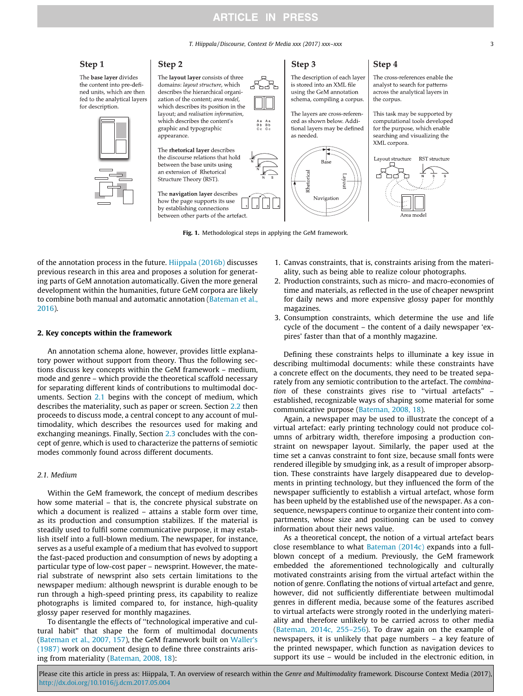T. Hiippala / Discourse, Context & Media xxx (2017) xxx–xxx 33

<span id="page-2-0"></span>

Fig. 1. Methodological steps in applying the GeM framework.

of the annotation process in the future. [Hiippala \(2016b\)](#page-7-0) discusses previous research in this area and proposes a solution for generating parts of GeM annotation automatically. Given the more general development within the humanities, future GeM corpora are likely to combine both manual and automatic annotation ([Bateman et al.,](#page-7-0) [2016\)](#page-7-0).

# 2. Key concepts within the framework

An annotation schema alone, however, provides little explanatory power without support from theory. Thus the following sections discuss key concepts within the GeM framework – medium, mode and genre – which provide the theoretical scaffold necessary for separating different kinds of contributions to multimodal documents. Section 2.1 begins with the concept of medium, which describes the materiality, such as paper or screen. Section [2.2](#page-3-0) then proceeds to discuss mode, a central concept to any account of multimodality, which describes the resources used for making and exchanging meanings. Finally, Section [2.3](#page-3-0) concludes with the concept of genre, which is used to characterize the patterns of semiotic modes commonly found across different documents.

### 2.1. Medium

Within the GeM framework, the concept of medium describes how some material – that is, the concrete physical substrate on which a document is realized – attains a stable form over time, as its production and consumption stabilizes. If the material is steadily used to fulfil some communicative purpose, it may establish itself into a full-blown medium. The newspaper, for instance, serves as a useful example of a medium that has evolved to support the fast-paced production and consumption of news by adopting a particular type of low-cost paper – newsprint. However, the material substrate of newsprint also sets certain limitations to the newspaper medium: although newsprint is durable enough to be run through a high-speed printing press, its capability to realize photographs is limited compared to, for instance, high-quality glossy paper reserved for monthly magazines.

To disentangle the effects of ''technological imperative and cultural habit" that shape the form of multimodal documents ([Bateman et al., 2007, 157\)](#page-7-0), the GeM framework built on [Waller's](#page-8-0) [\(1987\)](#page-8-0) work on document design to define three constraints arising from materiality [\(Bateman, 2008, 18\)](#page-7-0):

- 1. Canvas constraints, that is, constraints arising from the materiality, such as being able to realize colour photographs.
- 2. Production constraints, such as micro- and macro-economies of time and materials, as reflected in the use of cheaper newsprint for daily news and more expensive glossy paper for monthly magazines.
- 3. Consumption constraints, which determine the use and life cycle of the document – the content of a daily newspaper 'expires' faster than that of a monthly magazine.

Defining these constraints helps to illuminate a key issue in describing multimodal documents: while these constraints have a concrete effect on the documents, they need to be treated separately from any semiotic contribution to the artefact. The combination of these constraints gives rise to ''virtual artefacts" – established, recognizable ways of shaping some material for some communicative purpose ([Bateman, 2008, 18](#page-7-0)).

Again, a newspaper may be used to illustrate the concept of a virtual artefact: early printing technology could not produce columns of arbitrary width, therefore imposing a production constraint on newspaper layout. Similarly, the paper used at the time set a canvas constraint to font size, because small fonts were rendered illegible by smudging ink, as a result of improper absorption. These constraints have largely disappeared due to developments in printing technology, but they influenced the form of the newspaper sufficiently to establish a virtual artefact, whose form has been upheld by the established use of the newspaper. As a consequence, newspapers continue to organize their content into compartments, whose size and positioning can be used to convey information about their news value.

As a theoretical concept, the notion of a virtual artefact bears close resemblance to what Bateman  $(2014c)$  expands into a fullblown concept of a medium. Previously, the GeM framework embedded the aforementioned technologically and culturally motivated constraints arising from the virtual artefact within the notion of genre. Conflating the notions of virtual artefact and genre, however, did not sufficiently differentiate between multimodal genres in different media, because some of the features ascribed to virtual artefacts were strongly rooted in the underlying materiality and therefore unlikely to be carried across to other media ([Bateman, 2014c, 255–256\)](#page-7-0). To draw again on the example of newspapers, it is unlikely that page numbers – a key feature of the printed newspaper, which function as navigation devices to support its use – would be included in the electronic edition, in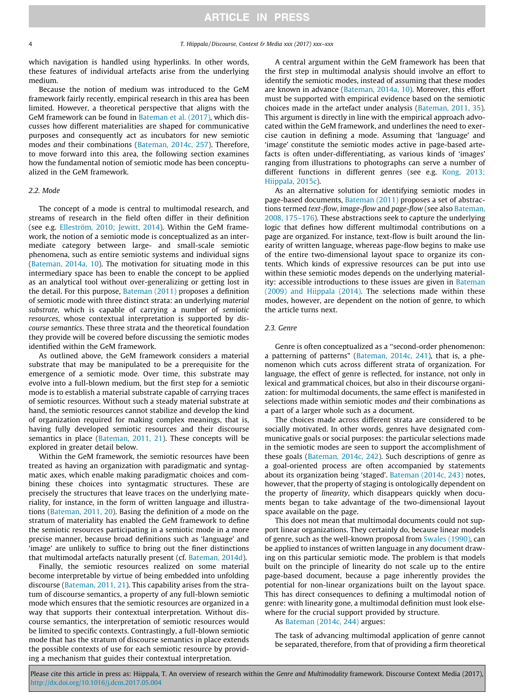<span id="page-3-0"></span>

which navigation is handled using hyperlinks. In other words, these features of individual artefacts arise from the underlying medium.

Because the notion of medium was introduced to the GeM framework fairly recently, empirical research in this area has been limited. However, a theoretical perspective that aligns with the GeM framework can be found in [Bateman et al. \(2017\),](#page-7-0) which discusses how different materialities are shaped for communicative purposes and consequently act as incubators for new semiotic modes and their combinations ([Bateman, 2014c, 257](#page-7-0)). Therefore, to move forward into this area, the following section examines how the fundamental notion of semiotic mode has been conceptualized in the GeM framework.

# 2.2. Mode

The concept of a mode is central to multimodal research, and streams of research in the field often differ in their definition (see e.g. [Elleström, 2010; Jewitt, 2014](#page-7-0)). Within the GeM framework, the notion of a semiotic mode is conceptualized as an intermediate category between large- and small-scale semiotic phenomena, such as entire semiotic systems and individual signs ([Bateman, 2014a, 10](#page-7-0)). The motivation for situating mode in this intermediary space has been to enable the concept to be applied as an analytical tool without over-generalizing or getting lost in the detail. For this purpose, [Bateman \(2011\)](#page-7-0) proposes a definition of semiotic mode with three distinct strata: an underlying material substrate, which is capable of carrying a number of semiotic resources, whose contextual interpretation is supported by discourse semantics. These three strata and the theoretical foundation they provide will be covered before discussing the semiotic modes identified within the GeM framework.

As outlined above, the GeM framework considers a material substrate that may be manipulated to be a prerequisite for the emergence of a semiotic mode. Over time, this substrate may evolve into a full-blown medium, but the first step for a semiotic mode is to establish a material substrate capable of carrying traces of semiotic resources. Without such a steady material substrate at hand, the semiotic resources cannot stabilize and develop the kind of organization required for making complex meanings, that is, having fully developed semiotic resources and their discourse semantics in place [\(Bateman, 2011, 21](#page-7-0)). These concepts will be explored in greater detail below.

Within the GeM framework, the semiotic resources have been treated as having an organization with paradigmatic and syntagmatic axes, which enable making paradigmatic choices and combining these choices into syntagmatic structures. These are precisely the structures that leave traces on the underlying materiality, for instance, in the form of written language and illustrations [\(Bateman, 2011, 20](#page-7-0)). Basing the definition of a mode on the stratum of materiality has enabled the GeM framework to define the semiotic resources participating in a semiotic mode in a more precise manner, because broad definitions such as 'language' and 'image' are unlikely to suffice to bring out the finer distinctions that multimodal artefacts naturally present (cf. [Bateman, 2014d](#page-7-0)).

Finally, the semiotic resources realized on some material become interpretable by virtue of being embedded into unfolding discourse ([Bateman, 2011, 21](#page-7-0)). This capability arises from the stratum of discourse semantics, a property of any full-blown semiotic mode which ensures that the semiotic resources are organized in a way that supports their contextual interpretation. Without discourse semantics, the interpretation of semiotic resources would be limited to specific contexts. Contrastingly, a full-blown semiotic mode that has the stratum of discourse semantics in place extends the possible contexts of use for each semiotic resource by providing a mechanism that guides their contextual interpretation.

A central argument within the GeM framework has been that the first step in multimodal analysis should involve an effort to identify the semiotic modes, instead of assuming that these modes are known in advance ([Bateman, 2014a, 10\)](#page-7-0). Moreover, this effort must be supported with empirical evidence based on the semiotic choices made in the artefact under analysis [\(Bateman, 2011, 35\)](#page-7-0). This argument is directly in line with the empirical approach advocated within the GeM framework, and underlines the need to exercise caution in defining a mode. Assuming that 'language' and 'image' constitute the semiotic modes active in page-based artefacts is often under-differentiating, as various kinds of 'images' ranging from illustrations to photographs can serve a number of different functions in different genres (see e.g. [Kong, 2013;](#page-7-0) [Hiippala, 2015c\)](#page-7-0).

As an alternative solution for identifying semiotic modes in page-based documents, [Bateman \(2011\)](#page-7-0) proposes a set of abstractions termed text-flow, image-flow and page-flow (see also [Bateman,](#page-7-0) [2008, 175–176](#page-7-0)). These abstractions seek to capture the underlying logic that defines how different multimodal contributions on a page are organized. For instance, text-flow is built around the linearity of written language, whereas page-flow begins to make use of the entire two-dimensional layout space to organize its contents. Which kinds of expressive resources can be put into use within these semiotic modes depends on the underlying materiality: accessible introductions to these issues are given in [Bateman](#page-7-0) [\(2009\) and Hiippala \(2014\)](#page-7-0). The selections made within these modes, however, are dependent on the notion of genre, to which the article turns next.

# 2.3. Genre

Genre is often conceptualized as a ''second-order phenomenon: a patterning of patterns" ([Bateman, 2014c, 241\)](#page-7-0), that is, a phenomenon which cuts across different strata of organization. For language, the effect of genre is reflected, for instance, not only in lexical and grammatical choices, but also in their discourse organization: for multimodal documents, the same effect is manifested in selections made within semiotic modes and their combinations as a part of a larger whole such as a document.

The choices made across different strata are considered to be socially motivated. In other words, genres have designated communicative goals or social purposes: the particular selections made in the semiotic modes are seen to support the accomplishment of these goals ([Bateman, 2014c, 242](#page-7-0)). Such descriptions of genre as a goal-oriented process are often accompanied by statements about its organization being 'staged'. [Bateman \(2014c, 243\)](#page-7-0) notes, however, that the property of staging is ontologically dependent on the property of linearity, which disappears quickly when documents began to take advantage of the two-dimensional layout space available on the page.

This does not mean that multimodal documents could not support linear organizations. They certainly do, because linear models of genre, such as the well-known proposal from [Swales \(1990\),](#page-8-0) can be applied to instances of written language in any document drawing on this particular semiotic mode. The problem is that models built on the principle of linearity do not scale up to the entire page-based document, because a page inherently provides the potential for non-linear organizations built on the layout space. This has direct consequences to defining a multimodal notion of genre: with linearity gone, a multimodal definition must look elsewhere for the crucial support provided by structure.

As [Bateman \(2014c, 244\)](#page-7-0) argues:

The task of advancing multimodal application of genre cannot be separated, therefore, from that of providing a firm theoretical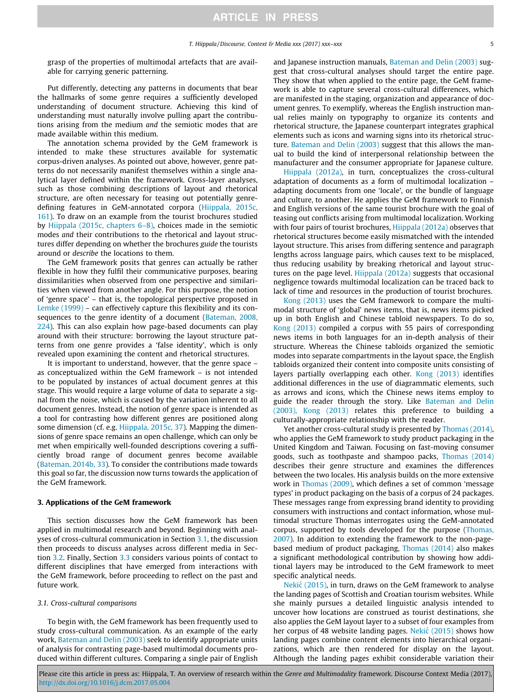grasp of the properties of multimodal artefacts that are available for carrying generic patterning.

Put differently, detecting any patterns in documents that bear the hallmarks of some genre requires a sufficiently developed understanding of document structure. Achieving this kind of understanding must naturally involve pulling apart the contributions arising from the medium and the semiotic modes that are made available within this medium.

The annotation schema provided by the GeM framework is intended to make these structures available for systematic corpus-driven analyses. As pointed out above, however, genre patterns do not necessarily manifest themselves within a single analytical layer defined within the framework. Cross-layer analyses, such as those combining descriptions of layout and rhetorical structure, are often necessary for teasing out potentially genredefining features in GeM-annotated corpora ([Hiippala, 2015c,](#page-7-0) [161\)](#page-7-0). To draw on an example from the tourist brochures studied by [Hiippala \(2015c, chapters 6–8\)](#page-7-0), choices made in the semiotic modes and their contributions to the rhetorical and layout structures differ depending on whether the brochures guide the tourists around or describe the locations to them.

The GeM framework posits that genres can actually be rather flexible in how they fulfil their communicative purposes, bearing dissimilarities when observed from one perspective and similarities when viewed from another angle. For this purpose, the notion of 'genre space' – that is, the topological perspective proposed in [Lemke \(1999\)](#page-7-0) – can effectively capture this flexibility and its consequences to the genre identity of a document [\(Bateman, 2008,](#page-7-0) [224\)](#page-7-0). This can also explain how page-based documents can play around with their structure: borrowing the layout structure patterns from one genre provides a 'false identity', which is only revealed upon examining the content and rhetorical structures.

It is important to understand, however, that the genre space – as conceptualized within the GeM framework – is not intended to be populated by instances of actual document genres at this stage. This would require a large volume of data to separate a signal from the noise, which is caused by the variation inherent to all document genres. Instead, the notion of genre space is intended as a tool for contrasting how different genres are positioned along some dimension (cf. e.g. [Hiippala, 2015c, 37\)](#page-7-0). Mapping the dimensions of genre space remains an open challenge, which can only be met when empirically well-founded descriptions covering a sufficiently broad range of document genres become available ([Bateman, 2014b, 33](#page-7-0)). To consider the contributions made towards this goal so far, the discussion now turns towards the application of the GeM framework.

### 3. Applications of the GeM framework

This section discusses how the GeM framework has been applied in multimodal research and beyond. Beginning with analyses of cross-cultural communication in Section 3.1, the discussion then proceeds to discuss analyses across different media in Section [3.2.](#page-5-0) Finally, Section [3.3](#page-5-0) considers various points of contact to different disciplines that have emerged from interactions with the GeM framework, before proceeding to reflect on the past and future work.

#### 3.1. Cross-cultural comparisons

To begin with, the GeM framework has been frequently used to study cross-cultural communication. As an example of the early work, [Bateman and Delin \(2003\)](#page-7-0) seek to identify appropriate units of analysis for contrasting page-based multimodal documents produced within different cultures. Comparing a single pair of English and Japanese instruction manuals, [Bateman and Delin \(2003\)](#page-7-0) suggest that cross-cultural analyses should target the entire page. They show that when applied to the entire page, the GeM framework is able to capture several cross-cultural differences, which are manifested in the staging, organization and appearance of document genres. To exemplify, whereas the English instruction manual relies mainly on typography to organize its contents and rhetorical structure, the Japanese counterpart integrates graphical elements such as icons and warning signs into its rhetorical structure. [Bateman and Delin \(2003\)](#page-7-0) suggest that this allows the manual to build the kind of interpersonal relationship between the manufacturer and the consumer appropriate for Japanese culture.

[Hiippala \(2012a\)](#page-7-0), in turn, conceptualizes the cross-cultural adaptation of documents as a form of multimodal localization – adapting documents from one 'locale', or the bundle of language and culture, to another. He applies the GeM framework to Finnish and English versions of the same tourist brochure with the goal of teasing out conflicts arising from multimodal localization. Working with four pairs of tourist brochures, [Hiippala \(2012a\)](#page-7-0) observes that rhetorical structures become easily mismatched with the intended layout structure. This arises from differing sentence and paragraph lengths across language pairs, which causes text to be misplaced, thus reducing usability by breaking rhetorical and layout structures on the page level. [Hiippala \(2012a\)](#page-7-0) suggests that occasional negligence towards multimodal localization can be traced back to lack of time and resources in the production of tourist brochures.

[Kong \(2013\)](#page-7-0) uses the GeM framework to compare the multimodal structure of 'global' news items, that is, news items picked up in both English and Chinese tabloid newspapers. To do so, [Kong \(2013\)](#page-7-0) compiled a corpus with 55 pairs of corresponding news items in both languages for an in-depth analysis of their structure. Whereas the Chinese tabloids organized the semiotic modes into separate compartments in the layout space, the English tabloids organized their content into composite units consisting of layers partially overlapping each other. [Kong \(2013\)](#page-7-0) identifies additional differences in the use of diagrammatic elements, such as arrows and icons, which the Chinese news items employ to guide the reader through the story. Like [Bateman and Delin](#page-7-0) [\(2003\), Kong \(2013\)](#page-7-0) relates this preference to building a culturally-appropriate relationship with the reader.

Yet another cross-cultural study is presented by [Thomas \(2014\),](#page-8-0) who applies the GeM framework to study product packaging in the United Kingdom and Taiwan. Focusing on fast-moving consumer goods, such as toothpaste and shampoo packs, [Thomas \(2014\)](#page-8-0) describes their genre structure and examines the differences between the two locales. His analysis builds on the more extensive work in [Thomas \(2009\)](#page-8-0), which defines a set of common 'message types' in product packaging on the basis of a corpus of 24 packages. These messages range from expressing brand identity to providing consumers with instructions and contact information, whose multimodal structure Thomas interrogates using the GeM-annotated corpus, supported by tools developed for the purpose [\(Thomas,](#page-8-0) [2007](#page-8-0)). In addition to extending the framework to the non-pagebased medium of product packaging, [Thomas \(2014\)](#page-8-0) also makes a significant methodological contribution by showing how additional layers may be introduced to the GeM framework to meet specific analytical needs.

Nekić [\(2015\),](#page-8-0) in turn, draws on the GeM framework to analyse the landing pages of Scottish and Croatian tourism websites. While she mainly pursues a detailed linguistic analysis intended to uncover how locations are construed as tourist destinations, she also applies the GeM layout layer to a subset of four examples from her corpus of 48 website landing pages. Nekić [\(2015\)](#page-8-0) shows how landing pages combine content elements into hierarchical organizations, which are then rendered for display on the layout. Although the landing pages exhibit considerable variation their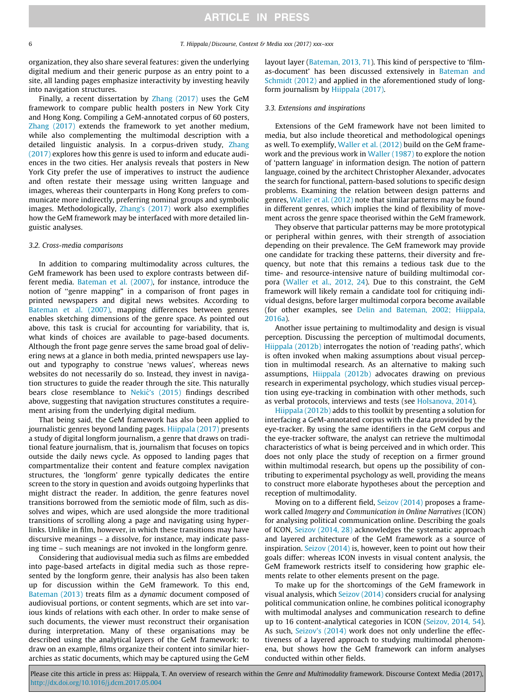<span id="page-5-0"></span>organization, they also share several features: given the underlying digital medium and their generic purpose as an entry point to a site, all landing pages emphasize interactivity by investing heavily into navigation structures.

Finally, a recent dissertation by [Zhang \(2017\)](#page-8-0) uses the GeM framework to compare public health posters in New York City and Hong Kong. Compiling a GeM-annotated corpus of 60 posters, [Zhang \(2017\)](#page-8-0) extends the framework to yet another medium, while also complementing the multimodal description with a detailed linguistic analysis. In a corpus-driven study, [Zhang](#page-8-0) [\(2017\)](#page-8-0) explores how this genre is used to inform and educate audiences in the two cities. Her analysis reveals that posters in New York City prefer the use of imperatives to instruct the audience and often restate their message using written language and images, whereas their counterparts in Hong Kong prefers to communicate more indirectly, preferring nominal groups and symbolic images. Methodologically, [Zhang's \(2017\)](#page-8-0) work also exemplifies how the GeM framework may be interfaced with more detailed linguistic analyses.

#### 3.2. Cross-media comparisons

In addition to comparing multimodality across cultures, the GeM framework has been used to explore contrasts between different media. [Bateman et al. \(2007\),](#page-7-0) for instance, introduce the notion of ''genre mapping" in a comparison of front pages in printed newspapers and digital news websites. According to [Bateman et al. \(2007\)](#page-7-0), mapping differences between genres enables sketching dimensions of the genre space. As pointed out above, this task is crucial for accounting for variability, that is, what kinds of choices are available to page-based documents. Although the front page genre serves the same broad goal of delivering news at a glance in both media, printed newspapers use layout and typography to construe 'news values', whereas news websites do not necessarily do so. Instead, they invest in navigation structures to guide the reader through the site. This naturally bears close resemblance to Nekić's (2015) findings described above, suggesting that navigation structures constitutes a requirement arising from the underlying digital medium.

That being said, the GeM framework has also been applied to journalistic genres beyond landing pages. [Hiippala \(2017\)](#page-7-0) presents a study of digital longform journalism, a genre that draws on traditional feature journalism, that is, journalism that focuses on topics outside the daily news cycle. As opposed to landing pages that compartmentalize their content and feature complex navigation structures, the 'longform' genre typically dedicates the entire screen to the story in question and avoids outgoing hyperlinks that might distract the reader. In addition, the genre features novel transitions borrowed from the semiotic mode of film, such as dissolves and wipes, which are used alongside the more traditional transitions of scrolling along a page and navigating using hyperlinks. Unlike in film, however, in which these transitions may have discursive meanings – a dissolve, for instance, may indicate passing time – such meanings are not invoked in the longform genre.

Considering that audiovisual media such as films are embedded into page-based artefacts in digital media such as those represented by the longform genre, their analysis has also been taken up for discussion within the GeM framework. To this end, [Bateman \(2013\)](#page-7-0) treats film as a dynamic document composed of audiovisual portions, or content segments, which are set into various kinds of relations with each other. In order to make sense of such documents, the viewer must reconstruct their organisation during interpretation. Many of these organisations may be described using the analytical layers of the GeM framework: to draw on an example, films organize their content into similar hierarchies as static documents, which may be captured using the GeM

layout layer [\(Bateman, 2013, 71](#page-7-0)). This kind of perspective to 'filmas-document' has been discussed extensively in [Bateman and](#page-7-0) [Schmidt \(2012\)](#page-7-0) and applied in the aforementioned study of longform journalism by [Hiippala \(2017\)](#page-7-0).

### 3.3. Extensions and inspirations

Extensions of the GeM framework have not been limited to media, but also include theoretical and methodological openings as well. To exemplify, [Waller et al. \(2012\)](#page-8-0) build on the GeM framework and the previous work in [Waller \(1987\)](#page-8-0) to explore the notion of 'pattern language' in information design. The notion of pattern language, coined by the architect Christopher Alexander, advocates the search for functional, pattern-based solutions to specific design problems. Examining the relation between design patterns and genres, [Waller et al. \(2012\)](#page-8-0) note that similar patterns may be found in different genres, which implies the kind of flexibility of movement across the genre space theorised within the GeM framework.

They observe that particular patterns may be more prototypical or peripheral within genres, with their strength of association depending on their prevalence. The GeM framework may provide one candidate for tracking these patterns, their diversity and frequency, but note that this remains a tedious task due to the time- and resource-intensive nature of building multimodal corpora ([Waller et al., 2012, 24](#page-8-0)). Due to this constraint, the GeM framework will likely remain a candidate tool for critiquing individual designs, before larger multimodal corpora become available (for other examples, see [Delin and Bateman, 2002; Hiippala,](#page-7-0) [2016a\)](#page-7-0).

Another issue pertaining to multimodality and design is visual perception. Discussing the perception of multimodal documents, [Hiippala \(2012b\)](#page-7-0) interrogates the notion of 'reading paths', which is often invoked when making assumptions about visual perception in multimodal research. As an alternative to making such assumptions, [Hiippala \(2012b\)](#page-7-0) advocates drawing on previous research in experimental psychology, which studies visual perception using eye-tracking in combination with other methods, such as verbal protocols, interviews and tests (see [Holsanova, 2014](#page-7-0)).

[Hiippala \(2012b\)](#page-7-0) adds to this toolkit by presenting a solution for interfacing a GeM-annotated corpus with the data provided by the eye-tracker. By using the same identifiers in the GeM corpus and the eye-tracker software, the analyst can retrieve the multimodal characteristics of what is being perceived and in which order. This does not only place the study of reception on a firmer ground within multimodal research, but opens up the possibility of contributing to experimental psychology as well, providing the means to construct more elaborate hypotheses about the perception and reception of multimodality.

Moving on to a different field, [Seizov \(2014\)](#page-8-0) proposes a framework called Imagery and Communication in Online Narratives (ICON) for analysing political communication online. Describing the goals of ICON, [Seizov \(2014, 28\)](#page-8-0) acknowledges the systematic approach and layered architecture of the GeM framework as a source of inspiration. [Seizov \(2014\)](#page-8-0) is, however, keen to point out how their goals differ: whereas ICON invests in visual content analysis, the GeM framework restricts itself to considering how graphic elements relate to other elements present on the page.

To make up for the shortcomings of the GeM framework in visual analysis, which [Seizov \(2014\)](#page-8-0) considers crucial for analysing political communication online, he combines political iconography with multimodal analyses and communication research to define up to 16 content-analytical categories in ICON ([Seizov, 2014, 54\)](#page-8-0). As such, [Seizov's \(2014\)](#page-8-0) work does not only underline the effectiveness of a layered approach to studying multimodal phenomena, but shows how the GeM framework can inform analyses conducted within other fields.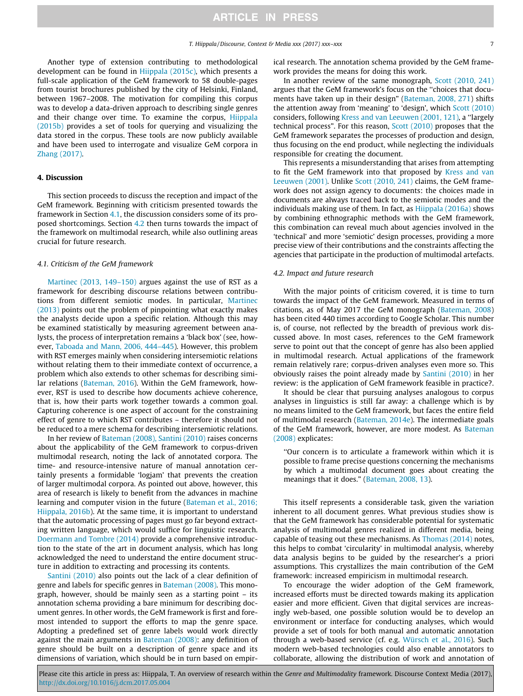Another type of extension contributing to methodological development can be found in [Hiippala \(2015c\),](#page-7-0) which presents a full-scale application of the GeM framework to 58 double-pages from tourist brochures published by the city of Helsinki, Finland, between 1967–2008. The motivation for compiling this corpus was to develop a data-driven approach to describing single genres and their change over time. To examine the corpus, [Hiippala](#page-7-0) [\(2015b\)](#page-7-0) provides a set of tools for querying and visualizing the data stored in the corpus. These tools are now publicly available and have been used to interrogate and visualize GeM corpora in [Zhang \(2017\)](#page-8-0).

# 4. Discussion

This section proceeds to discuss the reception and impact of the GeM framework. Beginning with criticism presented towards the framework in Section 4.1, the discussion considers some of its proposed shortcomings. Section 4.2 then turns towards the impact of the framework on multimodal research, while also outlining areas crucial for future research.

### 4.1. Criticism of the GeM framework

[Martinec \(2013, 149–150\)](#page-7-0) argues against the use of RST as a framework for describing discourse relations between contributions from different semiotic modes. In particular, [Martinec](#page-7-0) [\(2013\)](#page-7-0) points out the problem of pinpointing what exactly makes the analysts decide upon a specific relation. Although this may be examined statistically by measuring agreement between analysts, the process of interpretation remains a 'black box' (see, however, [Taboada and Mann, 2006, 444–445](#page-8-0)). However, this problem with RST emerges mainly when considering intersemiotic relations without relating them to their immediate context of occurrence, a problem which also extends to other schemas for describing similar relations [\(Bateman, 2016\)](#page-7-0). Within the GeM framework, however, RST is used to describe how documents achieve coherence, that is, how their parts work together towards a common goal. Capturing coherence is one aspect of account for the constraining effect of genre to which RST contributes – therefore it should not be reduced to a mere schema for describing intersemiotic relations.

In her review of [Bateman \(2008\), Santini \(2010\)](#page-7-0) raises concerns about the applicability of the GeM framework to corpus-driven multimodal research, noting the lack of annotated corpora. The time- and resource-intensive nature of manual annotation certainly presents a formidable 'logjam' that prevents the creation of larger multimodal corpora. As pointed out above, however, this area of research is likely to benefit from the advances in machine learning and computer vision in the future [\(Bateman et al., 2016;](#page-7-0) [Hiippala, 2016b\)](#page-7-0). At the same time, it is important to understand that the automatic processing of pages must go far beyond extracting written language, which would suffice for linguistic research. [Doermann and Tombre \(2014\)](#page-7-0) provide a comprehensive introduction to the state of the art in document analysis, which has long acknowledged the need to understand the entire document structure in addition to extracting and processing its contents.

[Santini \(2010\)](#page-8-0) also points out the lack of a clear definition of genre and labels for specific genres in [Bateman \(2008\).](#page-7-0) This monograph, however, should be mainly seen as a starting point – its annotation schema providing a bare minimum for describing document genres. In other words, the GeM framework is first and foremost intended to support the efforts to map the genre space. Adopting a predefined set of genre labels would work directly against the main arguments in [Bateman \(2008\)](#page-7-0): any definition of genre should be built on a description of genre space and its dimensions of variation, which should be in turn based on empirical research. The annotation schema provided by the GeM framework provides the means for doing this work.

In another review of the same monograph, [Scott \(2010, 241\)](#page-8-0) argues that the GeM framework's focus on the ''choices that documents have taken up in their design" [\(Bateman, 2008, 271](#page-7-0)) shifts the attention away from 'meaning' to 'design', which [Scott \(2010\)](#page-8-0) considers, following [Kress and van Leeuwen \(2001, 121\)](#page-7-0), a ''largely technical process". For this reason, [Scott \(2010\)](#page-8-0) proposes that the GeM framework separates the processes of production and design, thus focusing on the end product, while neglecting the individuals responsible for creating the document.

This represents a misunderstanding that arises from attempting to fit the GeM framework into that proposed by [Kress and van](#page-7-0) [Leeuwen \(2001\).](#page-7-0) Unlike [Scott \(2010, 241\)](#page-8-0) claims, the GeM framework does not assign agency to documents: the choices made in documents are always traced back to the semiotic modes and the individuals making use of them. In fact, as [Hiippala \(2016a\)](#page-7-0) shows by combining ethnographic methods with the GeM framework, this combination can reveal much about agencies involved in the 'technical' and more 'semiotic' design processes, providing a more precise view of their contributions and the constraints affecting the agencies that participate in the production of multimodal artefacts.

### 4.2. Impact and future research

With the major points of criticism covered, it is time to turn towards the impact of the GeM framework. Measured in terms of citations, as of May 2017 the GeM monograph ([Bateman, 2008\)](#page-7-0) has been cited 440 times according to Google Scholar. This number is, of course, not reflected by the breadth of previous work discussed above. In most cases, references to the GeM framework serve to point out that the concept of genre has also been applied in multimodal research. Actual applications of the framework remain relatively rare; corpus-driven analyses even more so. This obviously raises the point already made by [Santini \(2010\)](#page-8-0) in her review: is the application of GeM framework feasible in practice?.

It should be clear that pursuing analyses analogous to corpus analyses in linguistics is still far away: a challenge which is by no means limited to the GeM framework, but faces the entire field of multimodal research [\(Bateman, 2014e](#page-7-0)). The intermediate goals of the GeM framework, however, are more modest. As [Bateman](#page-7-0) [\(2008\)](#page-7-0) explicates:

''Our concern is to articulate a framework within which it is possible to frame precise questions concerning the mechanisms by which a multimodal document goes about creating the meanings that it does." [\(Bateman, 2008, 13\)](#page-7-0).

This itself represents a considerable task, given the variation inherent to all document genres. What previous studies show is that the GeM framework has considerable potential for systematic analysis of multimodal genres realized in different media, being capable of teasing out these mechanisms. As [Thomas \(2014\)](#page-8-0) notes, this helps to combat 'circularity' in multimodal analysis, whereby data analysis begins to be guided by the researcher's a priori assumptions. This crystallizes the main contribution of the GeM framework: increased empiricism in multimodal research.

To encourage the wider adoption of the GeM framework, increased efforts must be directed towards making its application easier and more efficient. Given that digital services are increasingly web-based, one possible solution would be to develop an environment or interface for conducting analyses, which would provide a set of tools for both manual and automatic annotation through a web-based service (cf. e.g. [Würsch et al., 2016](#page-8-0)). Such modern web-based technologies could also enable annotators to collaborate, allowing the distribution of work and annotation of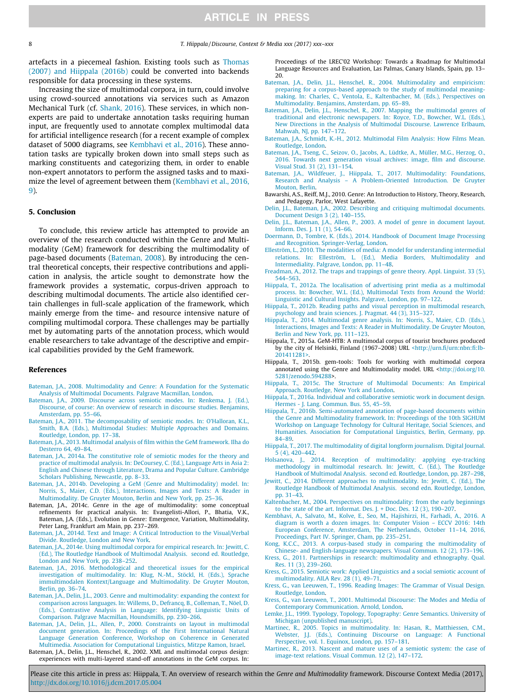<span id="page-7-0"></span>8 T. Hiippala / Discourse, Context & Media xxx (2017) xxx–xxx

artefacts in a piecemeal fashion. Existing tools such as [Thomas](#page-8-0) [\(2007\) and Hiippala \(2016b\)](#page-8-0) could be converted into backends responsible for data processing in these systems.

Increasing the size of multimodal corpora, in turn, could involve using crowd-sourced annotations via services such as Amazon Mechanical Turk (cf. [Shank, 2016](#page-8-0)). These services, in which nonexperts are paid to undertake annotation tasks requiring human input, are frequently used to annotate complex multimodal data for artificial intelligence research (for a recent example of complex dataset of 5000 diagrams, see Kembhavi et al., 2016). These annotation tasks are typically broken down into small steps such as marking constituents and categorizing them, in order to enable non-expert annotators to perform the assigned tasks and to maximize the level of agreement between them (Kembhavi et al., 2016, 9).

# 5. Conclusion

To conclude, this review article has attempted to provide an overview of the research conducted within the Genre and Multimodality (GeM) framework for describing the multimodality of page-based documents (Bateman, 2008). By introducing the central theoretical concepts, their respective contributions and application in analysis, the article sought to demonstrate how the framework provides a systematic, corpus-driven approach to describing multimodal documents. The article also identified certain challenges in full-scale application of the framework, which mainly emerge from the time- and resource intensive nature of compiling multimodal corpora. These challenges may be partially met by automating parts of the annotation process, which would enable researchers to take advantage of the descriptive and empirical capabilities provided by the GeM framework.

#### References

- [Bateman, J.A., 2008. Multimodality and Genre: A Foundation for the Systematic](http://refhub.elsevier.com/S2211-6958(16)30187-8/h0005) [Analysis of Multimodal Documents. Palgrave Macmillan, London](http://refhub.elsevier.com/S2211-6958(16)30187-8/h0005).
- [Bateman, J.A., 2009. Discourse across semiotic modes. In: Renkema, J. \(Ed.\),](http://refhub.elsevier.com/S2211-6958(16)30187-8/h0010) [Discourse, of course: An overview of research in discourse studies. Benjamins,](http://refhub.elsevier.com/S2211-6958(16)30187-8/h0010) [Amsterdam, pp. 55–66](http://refhub.elsevier.com/S2211-6958(16)30187-8/h0010).
- [Bateman, J.A., 2011. The decomposability of semiotic modes. In: O'Halloran, K.L.,](http://refhub.elsevier.com/S2211-6958(16)30187-8/h0015) [Smith, B.A. \(Eds.\), Multimodal Studies: Multiple Approaches and Domains.](http://refhub.elsevier.com/S2211-6958(16)30187-8/h0015) [Routledge, London, pp. 17–38](http://refhub.elsevier.com/S2211-6958(16)30187-8/h0015).
- [Bateman, J.A., 2013. Multimodal analysis of film within the GeM framework. Ilha do](http://refhub.elsevier.com/S2211-6958(16)30187-8/h0020) [Desterro 64, 49–84](http://refhub.elsevier.com/S2211-6958(16)30187-8/h0020).
- [Bateman, J.A., 2014a. The constitutive role of semiotic modes for the theory and](http://refhub.elsevier.com/S2211-6958(16)30187-8/h0025) [practice of multimodal analysis. In: DeCoursey, C. \(Ed.\), Language Arts in Asia 2:](http://refhub.elsevier.com/S2211-6958(16)30187-8/h0025) [English and Chinese through Literature, Drama and Popular Culture. Cambridge](http://refhub.elsevier.com/S2211-6958(16)30187-8/h0025) [Scholars Publishing, Newcastle, pp. 8–33.](http://refhub.elsevier.com/S2211-6958(16)30187-8/h0025)
- [Bateman, J.A., 2014b. Developing a GeM \(Genre and Multimodality\) model. In:](http://refhub.elsevier.com/S2211-6958(16)30187-8/h0030) [Norris, S., Maier, C.D. \(Eds.\), Interactions, Images and Texts: A Reader in](http://refhub.elsevier.com/S2211-6958(16)30187-8/h0030) [Multimodality. De Gruyter Mouton, Berlin and New York, pp. 25–36.](http://refhub.elsevier.com/S2211-6958(16)30187-8/h0030)
- Bateman, J.A., 2014c. Genre in the age of multimodality: some conceptual refinements for practical analysis. In: Evangelisti-Allori, P., Bhatia, V.K., Bateman, J.A. (Eds.), Evolution in Genre: Emergence, Variation, Multimodality, Peter Lang, Frankfurt am Main, pp. 237–269.
- [Bateman, J.A., 2014d. Text and Image: A Critical Introduction to the Visual/Verbal](http://refhub.elsevier.com/S2211-6958(16)30187-8/h0040) [Divide. Routledge, London and New York.](http://refhub.elsevier.com/S2211-6958(16)30187-8/h0040)
- [Bateman, J.A., 2014e. Using multimodal corpora for empirical research. In: Jewitt, C.](http://refhub.elsevier.com/S2211-6958(16)30187-8/h0045) [\(Ed.\), The Routledge Handbook of Multimodal Analysis. second ed. Routledge,](http://refhub.elsevier.com/S2211-6958(16)30187-8/h0045) [London and New York, pp. 238–252](http://refhub.elsevier.com/S2211-6958(16)30187-8/h0045).
- [Bateman, J.A., 2016. Methodological and theoretical issues for the empirical](http://refhub.elsevier.com/S2211-6958(16)30187-8/h0050) [investigation of multimodality. In: Klug, N.-M., Stöckl, H. \(Eds.\), Sprache](http://refhub.elsevier.com/S2211-6958(16)30187-8/h0050) [immultimodalen Kontext/Language and Multimodality. De Gruyter Mouton,](http://refhub.elsevier.com/S2211-6958(16)30187-8/h0050) [Berlin, pp. 36–74.](http://refhub.elsevier.com/S2211-6958(16)30187-8/h0050)
- [Bateman, J.A., Delin, J.L., 2003. Genre and multimodality: expanding the context for](http://refhub.elsevier.com/S2211-6958(16)30187-8/h0055) [comparison across languages. In: Willems, D., Defrancq, B., Colleman, T., Nöel, D.](http://refhub.elsevier.com/S2211-6958(16)30187-8/h0055) [\(Eds.\), Contrastive Analysis in Language: Identifying Linguistic Units of](http://refhub.elsevier.com/S2211-6958(16)30187-8/h0055) [Comparison. Palgrave Macmillan, Houndsmills, pp. 230–266.](http://refhub.elsevier.com/S2211-6958(16)30187-8/h0055)
- [Bateman, J.A., Delin, J.L., Allen, P., 2000. Constraints on layout in multimodal](http://refhub.elsevier.com/S2211-6958(16)30187-8/h0060) [document generation. In: Proceedings of the First International Natural](http://refhub.elsevier.com/S2211-6958(16)30187-8/h0060) [Language Generation Conference, Workshop on Coherence in Generated](http://refhub.elsevier.com/S2211-6958(16)30187-8/h0060) [Multimedia. Association for Computational Linguistics, Mitzpe Ramon, Israel.](http://refhub.elsevier.com/S2211-6958(16)30187-8/h0060)
- Bateman, J.A., Delin, J.L., Henschel, R., 2002. XML and multimodal corpus design: experiences with multi-layered stand-off annotations in the GeM corpus. In:

Proceedings of the LREC'02 Workshop: Towards a Roadmap for Multimodal Language Resources and Evaluation, Las Palmas, Canary Islands, Spain, pp. 13–  $20$ 

- [Bateman, J.A., Delin, J.L., Henschel, R., 2004. Multimodality and empiricism:](http://refhub.elsevier.com/S2211-6958(16)30187-8/h0070) [preparing for a corpus-based approach to the study of multimodal meaning](http://refhub.elsevier.com/S2211-6958(16)30187-8/h0070)[making. In: Charles, C., Ventola, E., Kaltenbacher, M. \(Eds.\), Perspectives on](http://refhub.elsevier.com/S2211-6958(16)30187-8/h0070) [Multimodality. Benjamins, Amsterdam, pp. 65–89.](http://refhub.elsevier.com/S2211-6958(16)30187-8/h0070)
- [Bateman, J.A., Delin, J.L., Henschel, R., 2007. Mapping the multimodal genres of](http://refhub.elsevier.com/S2211-6958(16)30187-8/h0075) [traditional and electronic newspapers. In: Royce, T.D., Bowcher, W.L. \(Eds.\),](http://refhub.elsevier.com/S2211-6958(16)30187-8/h0075) [New Directions in the Analysis of Multimodal Discourse. Lawrence Erlbaum,](http://refhub.elsevier.com/S2211-6958(16)30187-8/h0075) [Mahwah, NJ, pp. 147–172](http://refhub.elsevier.com/S2211-6958(16)30187-8/h0075).
- [Bateman, J.A., Schmidt, K.-H., 2012. Multimodal Film Analysis: How Films Mean.](http://refhub.elsevier.com/S2211-6958(16)30187-8/h0080) [Routledge, London](http://refhub.elsevier.com/S2211-6958(16)30187-8/h0080).
- [Bateman, J.A., Tseng, C., Seizov, O., Jacobs, A., Lüdtke, A., Müller, M.G., Herzog, O.,](http://refhub.elsevier.com/S2211-6958(16)30187-8/h0085) [2016. Towards next generation visual archives: image, film and discourse.](http://refhub.elsevier.com/S2211-6958(16)30187-8/h0085) [Visual Stud. 31 \(2\), 131–154.](http://refhub.elsevier.com/S2211-6958(16)30187-8/h0085)
- [Bateman, J.A., Wildfeuer, J., Hiippala, T., 2017. Multimodality: Foundations,](http://refhub.elsevier.com/S2211-6958(16)30187-8/h0090) [Research and Analysis – A Problem-Oriented Introduction. De Gruyter](http://refhub.elsevier.com/S2211-6958(16)30187-8/h0090) [Mouton, Berlin](http://refhub.elsevier.com/S2211-6958(16)30187-8/h0090).
- Bawarshi, A.S., Reiff, M.J., 2010. Genre: An Introduction to History, Theory, Research, and Pedagogy, Parlor, West Lafayette.
- [Delin, J.L., Bateman, J.A., 2002. Describing and critiquing multimodal documents.](http://refhub.elsevier.com/S2211-6958(16)30187-8/h0100) [Document Design 3 \(2\), 140–155.](http://refhub.elsevier.com/S2211-6958(16)30187-8/h0100)
- [Delin, J.L., Bateman, J.A., Allen, P., 2003. A model of genre in document layout.](http://refhub.elsevier.com/S2211-6958(16)30187-8/h0105) [Inform. Des. J. 11 \(1\), 54–66.](http://refhub.elsevier.com/S2211-6958(16)30187-8/h0105)
- [Doermann, D., Tombre, K. \(Eds.\), 2014. Handbook of Document Image Processing](http://refhub.elsevier.com/S2211-6958(16)30187-8/h0110) [and Recognition. Springer-Verlag, London](http://refhub.elsevier.com/S2211-6958(16)30187-8/h0110).
- [Elleström, L., 2010. The modalities of media: A model for understanding intermedial](http://refhub.elsevier.com/S2211-6958(16)30187-8/h0115) [relations. In: Elleström, L. \(Ed.\), Media Borders, Multimodality and](http://refhub.elsevier.com/S2211-6958(16)30187-8/h0115) [Intermediality. Palgrave, London, pp. 11–48.](http://refhub.elsevier.com/S2211-6958(16)30187-8/h0115)
- [Freadman, A., 2012. The traps and trappings of genre theory. Appl. Linguist. 33 \(5\),](http://refhub.elsevier.com/S2211-6958(16)30187-8/h0120) [544–563](http://refhub.elsevier.com/S2211-6958(16)30187-8/h0120).
- [Hiippala, T., 2012a. The localisation of advertising print media as a multimodal](http://refhub.elsevier.com/S2211-6958(16)30187-8/h0125) [process. In: Bowcher, W.L. \(Ed.\), Multimodal Texts from Around the World:](http://refhub.elsevier.com/S2211-6958(16)30187-8/h0125) [Linguistic and Cultural Insights. Palgrave, London, pp. 97–122.](http://refhub.elsevier.com/S2211-6958(16)30187-8/h0125)
- [Hiippala, T., 2012b. Reading paths and visual perception in multimodal research,](http://refhub.elsevier.com/S2211-6958(16)30187-8/h0130) [psychology and brain sciences. J. Pragmat. 44 \(3\), 315–327](http://refhub.elsevier.com/S2211-6958(16)30187-8/h0130).
- [Hiippala, T., 2014. Multimodal genre analysis. In: Norris, S., Maier, C.D. \(Eds.\),](http://refhub.elsevier.com/S2211-6958(16)30187-8/h0135) [Interactions, Images and Texts: A Reader in Multimodality. De Gruyter Mouton,](http://refhub.elsevier.com/S2211-6958(16)30187-8/h0135) [Berlin and New York, pp. 111–123.](http://refhub.elsevier.com/S2211-6958(16)30187-8/h0135)
- Hiippala, T., 2015a. GeM-HTB: A multimodal corpus of tourist brochures produced by the city of Helsinki, Finland (1967–2008) URL [<http://urn.fi/urn:nbn:fi:lb-](http://urn.fi/urn:nbn:fi:lb-201411281)[201411281>.](http://urn.fi/urn:nbn:fi:lb-201411281)
- Hiippala, T., 2015b. gem-tools: Tools for working with multimodal corpora annotated using the Genre and Multimodality model. URL <[http://doi.org/10.](http://doi.org/10.5281/zenodo.594288) [5281/zenodo.594288>](http://doi.org/10.5281/zenodo.594288).
- [Hiippala, T., 2015c. The Structure of Multimodal Documents: An Empirical](http://refhub.elsevier.com/S2211-6958(16)30187-8/h0150) [Approach. Routledge, New York and London](http://refhub.elsevier.com/S2211-6958(16)30187-8/h0150).
- [Hiippala, T., 2016a. Individual and collaborative semiotic work in document design.](http://refhub.elsevier.com/S2211-6958(16)30187-8/h0155) [Hermes - J. Lang. Commun. Bus. 55, 45–59.](http://refhub.elsevier.com/S2211-6958(16)30187-8/h0155)
- [Hiippala, T., 2016b. Semi-automated annotation of page-based documents within](http://refhub.elsevier.com/S2211-6958(16)30187-8/h0160) [the Genre and Multimodality framework. In: Proceedings of the 10th SIGHUM](http://refhub.elsevier.com/S2211-6958(16)30187-8/h0160) [Workshop on Language Technology for Cultural Heritage, Social Sciences, and](http://refhub.elsevier.com/S2211-6958(16)30187-8/h0160) [Humanities. Association for Computational Linguistics, Berlin, Germany, pp.](http://refhub.elsevier.com/S2211-6958(16)30187-8/h0160) [84–89.](http://refhub.elsevier.com/S2211-6958(16)30187-8/h0160)
- [Hiippala, T., 2017. The multimodality of digital longform journalism. Digital Journal.](http://refhub.elsevier.com/S2211-6958(16)30187-8/h0165) [5 \(4\), 420–442.](http://refhub.elsevier.com/S2211-6958(16)30187-8/h0165)
- [Holsanova, J., 2014. Reception of multimodality: applying eye-tracking](http://refhub.elsevier.com/S2211-6958(16)30187-8/h0170) [methodology in multimodal research. In: Jewitt, C. \(Ed.\), The Routledge](http://refhub.elsevier.com/S2211-6958(16)30187-8/h0170) [Handbook of Multimodal Analysis. second ed. Routledge, London, pp. 287–298](http://refhub.elsevier.com/S2211-6958(16)30187-8/h0170).
- [Jewitt, C., 2014. Different approaches to multimodality. In: Jewitt, C. \(Ed.\), The](http://refhub.elsevier.com/S2211-6958(16)30187-8/h0175) [Routledge Handbook of Multimodal Analysis. second edn. Routledge, London,](http://refhub.elsevier.com/S2211-6958(16)30187-8/h0175) [pp. 31–43](http://refhub.elsevier.com/S2211-6958(16)30187-8/h0175).
- [Kaltenbacher, M., 2004. Perspectives on multimodality: from the early beginnings](http://refhub.elsevier.com/S2211-6958(16)30187-8/h0180) [to the state of the art. Informat. Des. J. + Doc. Des. 12 \(3\), 190–207.](http://refhub.elsevier.com/S2211-6958(16)30187-8/h0180) [Kembhavi, A., Salvato, M., Kolve, E., Seo, M., Hajishirzi, H., Farhadi, A., 2016. A](http://refhub.elsevier.com/S2211-6958(16)30187-8/h0185)
- [diagram is worth a dozen images. In: Computer Vision ECCV 2016: 14th](http://refhub.elsevier.com/S2211-6958(16)30187-8/h0185) [European Conference, Amsterdam, The Netherlands, October 11–14, 2016,](http://refhub.elsevier.com/S2211-6958(16)30187-8/h0185) [Proceedings, Part IV. Springer, Cham, pp. 235–251](http://refhub.elsevier.com/S2211-6958(16)30187-8/h0185).
- [Kong, K.C.C., 2013. A corpus-based study in comparing the multimodality of](http://refhub.elsevier.com/S2211-6958(16)30187-8/h0190) [Chinese- and English-language newspapers. Visual Commun. 12 \(2\), 173–196](http://refhub.elsevier.com/S2211-6958(16)30187-8/h0190).
- [Kress, G., 2011. Partnerships in research: multimodality and ethnography. Qual.](http://refhub.elsevier.com/S2211-6958(16)30187-8/h0195) [Res. 11 \(3\), 239–260](http://refhub.elsevier.com/S2211-6958(16)30187-8/h0195).
- [Kress, G., 2015. Semiotic work: Applied Linguistics and a social semiotic account of](http://refhub.elsevier.com/S2211-6958(16)30187-8/h0200) [multimodality. AILA Rev. 28 \(1\), 49–71.](http://refhub.elsevier.com/S2211-6958(16)30187-8/h0200)
- [Kress, G., van Leeuwen, T., 1996. Reading Images: The Grammar of Visual Design.](http://refhub.elsevier.com/S2211-6958(16)30187-8/h0205) [Routledge, London](http://refhub.elsevier.com/S2211-6958(16)30187-8/h0205).
- [Kress, G., van Leeuwen, T., 2001. Multimodal Discourse: The Modes and Media of](http://refhub.elsevier.com/S2211-6958(16)30187-8/h0210) [Contemporary Communication. Arnold, London.](http://refhub.elsevier.com/S2211-6958(16)30187-8/h0210)
- [Lemke, J.L., 1999. Typology, Topology, Topography: Genre Semantics. University of](http://refhub.elsevier.com/S2211-6958(16)30187-8/h0215) [Michigan \(unpublished manuscript\).](http://refhub.elsevier.com/S2211-6958(16)30187-8/h0215)
- [Martinec, R., 2005. Topics in multimodality. In: Hasan, R., Matthiessen, C.M.,](http://refhub.elsevier.com/S2211-6958(16)30187-8/h0220) [Webster, J.J. \(Eds.\), Continuing Discourse on Language: A Functional](http://refhub.elsevier.com/S2211-6958(16)30187-8/h0220) [Perspective, vol. 1. Equinox, London, pp. 157–181.](http://refhub.elsevier.com/S2211-6958(16)30187-8/h0220)
- [Martinec, R., 2013. Nascent and mature uses of a semiotic system: the case of](http://refhub.elsevier.com/S2211-6958(16)30187-8/h0225) [image-text relations. Visual Commun. 12 \(2\), 147–172.](http://refhub.elsevier.com/S2211-6958(16)30187-8/h0225)